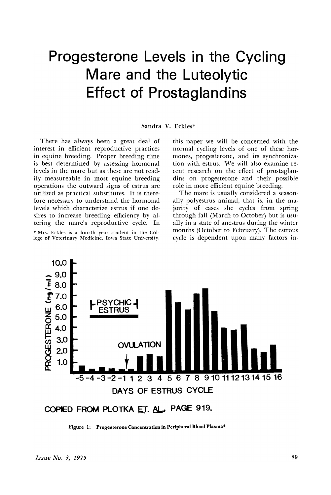### Progesterone Levels in the Cycling Mare and the Luteolytic Effect of Prostaglandins

#### Sandra V. Eckles\*

There has always been a great deal of interest in efficient reproductive practices in equine breeding. Proper breeding time is best determined by assessing hormonal levels in the mare but as these are not readily measureable in most equine breeding operations the outward signs of estrus are utilized as practical substitutes. It is therefore necessary to understand the hormonal levels which characterize estrus if one desires to increase breeding efficiency by altering the mare's reproductive cycle. In \* Mrs. Eckles is a fourth year student in the College of Veterinary Medicine, Iowa State University.

this paper we will be concerned with the normal cycling levels of one of these hormones, progesterone, and its synchronization with estrus. We will also examine recent research on the effect of prostaglandins on progesterone and their possible role in more efficient equine breeding.

The mare is usually considered a seasonally polyestrus animal, that is, in the majority of cases she cycles from spring through fall (March to October) but is usually in a state of anestrus during- the winter months (October to February). The estrous cycle is dependent upon many factors in-



COPIED FROM PLOTKA ET. AL.. PAGE 919.

Figure 1: Progesterone Concentration in Peripheral Blood Plasma\*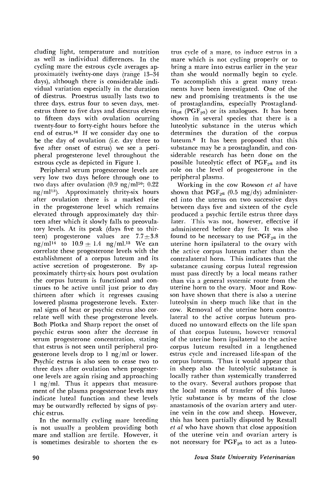cluding light, temperature and nutrition as well as individual differences. In the cycling mare the estrous cycle averages approximately twenty-one days (range 13-34) days), although there is considerable individual variation especially in the duration of diestrus. Proestrus usually lasts two to three days, estrus four to seven days, metestrus three to five days and diestrus eleven to fifteen days with ovulation ocurring twenty-four to forty-eight hours before the end of estrus. <sup>16</sup> If we consider day one to be the day of ovulation (i.e. day three to five after onset of estrus) we see a peripheral progesterone level throughout the estrous cycle as depicted in Figure 1.

Peripheral serum progesterone levels are very low two days before through one to two days after ovulation  $(0.9 \text{ ng/ml}^{10}$ ; 0.22  $ng/ml^{13}$ . Approximately thrity-six hours after ovulation there is a marked rise in the progesterone level which remains elevated through approximately day thirteen after which it slowly falls to preovulatory levels. At its peak (days five to thirteen) progesterone values are  $7.7+3.8$ ng/ml<sup>14</sup> to  $10.9 \pm 1.4$  ng/ml.<sup>13</sup> We can correlate these progesterone levels with the establishment of a corpus luteum and its active secretion of progesterone. By approximately thirty-six hours post ovulation the corpus luteum is functional and continues to be active until just prior to day thirteen after which it regresses causing lowered plasma progesterone levels. External signs of heat or psychic estrus also correlate well with these progesterone levels. Both Plotka and Sharp report the onset of psychic estrus soon after the decrease in serum progesterone concentration, stating that estrus is not seen until peripheral progesterone levels drop to 1 ng/ml or lower. Psychic estrus is also seen to cease two to three days after ovulation when progesterone levels are again rising and approaching 1 ng/ml. Thus it appears that measurement of the plasma progesterone levels may indicate luteal function and these levels may be outwardly reflected by signs of psychic estrus.

In the normally cycling mare breeding is not usually a problem providing both mare and stallion are fertile. However, it is sometimes desirable to shorten the es-

trus cycle of a mare, to induce estrus in a mare which is not cycling properly or to bring a mare into estrus earlier in the year than she would normally begin to cycle. To accomplish this a great many treatments have been investigated. One of the new and promising treatments is the use of prostaglandins, especially Prostagland $in_{2a}$  (PGF<sub>2</sub>a) or its analogues. It has been shown in several species that there is a luteolytic substance in the uterus which determines the duration of the corpus luteum.<sup>6</sup> It has been proposed that this substance may be a prostaglandin, and considerable research has been done on the possible luteolytic effect of  $PGF_{2\alpha}$  and its role on the level of progesterone in the peripheral plasma.

Working in the cow Rowson *et al* have shown that  $PGF_{2a}$  (0.5 mg/dy) administered into the uterus on two successive days between days five and sixteen of the cycle produced a psychic fertile estrus three days later. This was not, however, effective if administered before day five. It was also found to be necessary to use  $PGF_{2a}$  in the uterine horn ipsilateral to the ovary with the active corpus luteum rather than the contralateral horn. This indicates that the substance causing corpus luteal regression must pass directly by a local means rather than via a general systemic route from the uterine horn to the ovary. Moor and Rowson have shown that there is also a uterine luteolysin in sheep much like that in the cow. Removal of the uterine horn contralateral to the active corpus luteum produced no untoward effects on the life span of that corpus luteum, however removal of the uterine horn ipsilateral to the active corpus luteum resulted in a lengthened estrus cycle and increased life-span of the corpus luteum. Thus it would appear that in sheep also the luteolytic substance is locally rather than systemically transferred to the ovary. Several authors propose that the local means of transfer of this luteolytic substance is by means of the close anastamosis of the ovarian artery and uterine vein in the cow and sheep. However, this has been partially disputed by Restall *et al* who have shown that close apposition of the uterine vein and ovarian artery is not necessary for  $PGF_{2a}$  to act as a luteo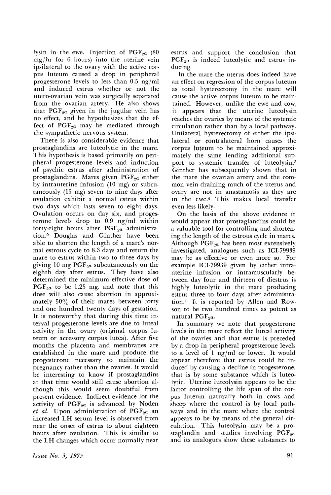lysin in the ewe. Injection of  $PGF_{2a}$  (80 mg/hr for 6 hours) into the uterine vein ipsilateral to the ovary with the active corpus luteum caused a drop in peripheral progesterone levels to less than 0.5 ng/ml and induced estrus whether or not the utero-ovarian vein was surgically separated from the ovarian artery. He also shows that  $PGF_{2a}$  given in the jugular vein has no effect, and he hypothesizes that the effect of  $PGF_{2a}$  may be mediated through the sympathetic nervous system.

There is also considerable evidence that prostaglandins are luteolytic in the mare. This hypothesis is based primarily on peripheral progesterone levels and induction of psychic estrus after administration of prostaglandins. Mares given PGF<sub>2</sub>*a* either by intrauterine infusion (10 mg) or subcutaneously (15 mg) seven to nine days after ovulation exhibit a normal estrus within two days which lasts seven to eight days. Ovulation occurs on day six, and progesterone levels drop to 0.9 ng/ml within forty-eight hours after PGF<sub>2a</sub> administration.9 Douglas and Ginther have been able to shorten the length of a mare's normal estrous cycle to 8.3 days and return the mare to estrus within two to three days by giving 10 mg  $PGF_{2a}$  subcutaneously on the eighth day after estrus. They have also determined the minimum effective dose of  $PGF_{2a}$  to be 1.25 mg. and note that this dose will also cause abortion in approximately 50% of their mares between forty and one hundred twenty days of gestation. It is noteworthy that during this time interval progesterone levels are due to luteal activity in the ovary (original corpus Iuteum or accessory corpus lutea). After five months the placenta and membranes are established in the mare and produce the progesterone necessary to maintain the pregnancy rather than the ovaries. It would be interesting to know if prostaglandins at that time would still cause abortion although this would seem doubtful from present evidence. Indirect evidence for the activity of  $PGF_{2a}$  is advanced by Noden  $et$  *al.* Upon administration of  $PGF_{2a}$  an increased LH serum level is observed from near the onset of estrus to about eighteen hours after ovulation. This is similar to the LH changes which occur normally near

estrus and support the conclusion that PGF<sub>2</sub>a is indeed luteolytic and estrus inducing.

In the mare the uterus does indeed have an effect on regression of the corpus luteum as total hysterectomy in the mare will cause the active corpus luteum to be maintained. However, unlike the ewe and cow, it appears that the uterine luteolysin reaches the ovaries by means of the systemic circulation rather than by a local pathway. Unilateral hysterectomy of either the ipsilateral or contralateral horn causes the corpus luteum to be maintained approximately the same lending additional support to systemic transfer of luteolysin.3 Ginther has subsequently shown that in the mare the ovarian artery and the common vein draining much of the uterus and ovary are not in anastamosis as they are in the ewe.<sup>4</sup> This makes local transfer even less likely.

On the basis of the above evidence it would appear that prostaglandins could be a valuable tool for controlling and shortening the length of the estrous cycle in mares. Although  $PGF_{2\alpha}$  has been most extensively investigated, analogues such as ICI-79939 may be as effective or even more so. For example ICI-79939 given by either intrauterine infusion or intramuscularly between day four and thirteen of diestrus is highly luteolytic in the mare producing estrus three to four days after administration.! It is reported by Allen and Rowson to be two hundred times as potent as natural PGF<sub>2a</sub>.

In summary we note that progesterone levels in the mare reflect the luteal activity of the ovaries and that estrus is preceded by a drop in peripheral progesterone levels to a level of  $1$  ng/ml or lower. It would appear therefore that estrus could be induced by causing a decline in progesterone, that is by some substance which is luteolytic. Uterine luteolysin appears to be the factor controlling the life span of the corpus luteum naturally both in cows and sheep where the control is by local pathways and in the mare where the control appears to be by means of the general circulation. This luteolysin may be a prostaglandin and studies involving  $PGF_{2a}$ and its analogues show these substances to

*Issue No.3., 1975*